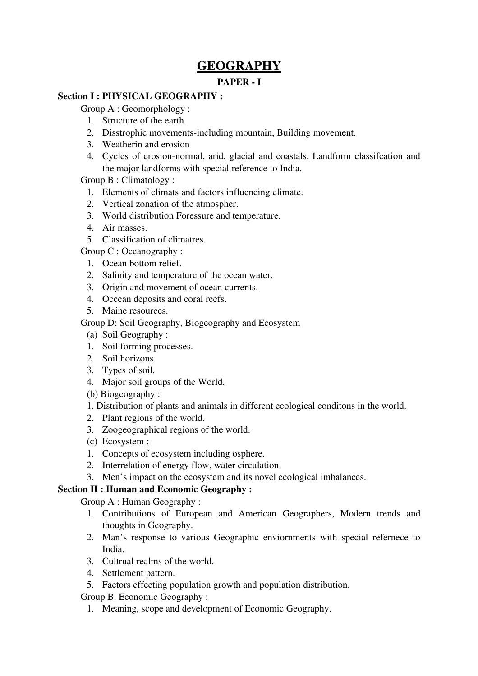# GEOGRAPHY

# PAPER - I

# Section I : PHYSICAL GEOGRAPHY :

Group A : Geomorphology :

- 1. Structure of the earth.
- 2. Disstrophic movements-including mountain, Building movement.
- 3. Weatherin and erosion
- 4. Cycles of erosion-normal, arid, glacial and coastals, Landform classifcation and the major landforms with special reference to India.

Group B : Climatology :

- 1. Elements of climats and factors influencing climate.
- 2. Vertical zonation of the atmospher.
- 3. World distribution Foressure and temperature.
- 4. Air masses.
- 5. Classification of climatres.

Group C : Oceanography :

- 1. Ocean bottom relief.
- 2. Salinity and temperature of the ocean water.
- 3. Origin and movement of ocean currents.
- 4. Occean deposits and coral reefs.
- 5. Maine resources.

Group D: Soil Geography, Biogeography and Ecosystem

- (a) Soil Geography :
- 1. Soil forming processes.
- 2. Soil horizons
- 3. Types of soil.
- 4. Major soil groups of the World.

(b) Biogeography :

- 1. Distribution of plants and animals in different ecological conditons in the world.
- 2. Plant regions of the world.
- 3. Zoogeographical regions of the world.
- (c) Ecosystem :
- 1. Concepts of ecosystem including osphere.
- 2. Interrelation of energy flow, water circulation.
- 3. Men's impact on the ecosystem and its novel ecological imbalances.

# Section II : Human and Economic Geography :

Group A : Human Geography :

- 1. Contributions of European and American Geographers, Modern trends and thoughts in Geography.
- 2. Man's response to various Geographic enviornments with special refernece to India.
- 3. Cultrual realms of the world.
- 4. Settlement pattern.
- 5. Factors effecting population growth and population distribution.

Group B. Economic Geography :

1. Meaning, scope and development of Economic Geography.